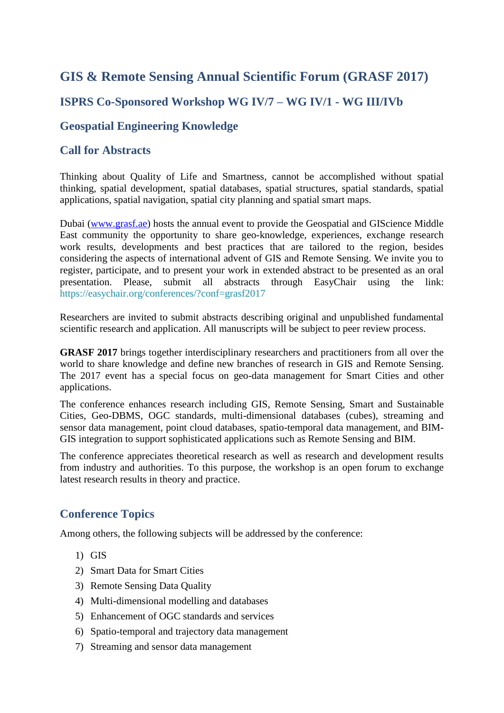# **GIS & Remote Sensing Annual Scientific Forum (GRASF 2017)**

## **ISPRS Co-Sponsored Workshop WG IV/7 – WG IV/1 - WG III/IVb**

#### **Geospatial Engineering Knowledge**

#### **Call for Abstracts**

Thinking about Quality of Life and Smartness, cannot be accomplished without spatial thinking, spatial development, spatial databases, spatial structures, spatial standards, spatial applications, spatial navigation, spatial city planning and spatial smart maps.

Dubai [\(www.grasf.ae\)](http://www.grasf.ae/) hosts the annual event to provide the Geospatial and GIScience Middle East community the opportunity to share geo-knowledge, experiences, exchange research work results, developments and best practices that are tailored to the region, besides considering the aspects of international advent of GIS and Remote Sensing. We invite you to register, participate, and to present your work in extended abstract to be presented as an oral presentation. Please, submit all abstracts through EasyChair using the link: <https://easychair.org/conferences/?conf=grasf2017>

Researchers are invited to submit abstracts describing original and unpublished fundamental scientific research and application. All manuscripts will be subject to peer review process.

**GRASF 2017** brings together interdisciplinary researchers and practitioners from all over the world to share knowledge and define new branches of research in GIS and Remote Sensing. The 2017 event has a special focus on geo-data management for Smart Cities and other applications.

The conference enhances research including GIS, Remote Sensing, Smart and Sustainable Cities, Geo-DBMS, OGC standards, multi-dimensional databases (cubes), streaming and sensor data management, point cloud databases, spatio-temporal data management, and BIM-GIS integration to support sophisticated applications such as Remote Sensing and BIM.

The conference appreciates theoretical research as well as research and development results from industry and authorities. To this purpose, the workshop is an open forum to exchange latest research results in theory and practice.

### **Conference Topics**

Among others, the following subjects will be addressed by the conference:

- 1) GIS
- 2) Smart Data for Smart Cities
- 3) Remote Sensing Data Quality
- 4) Multi-dimensional modelling and databases
- 5) Enhancement of OGC standards and services
- 6) Spatio-temporal and trajectory data management
- 7) Streaming and sensor data management